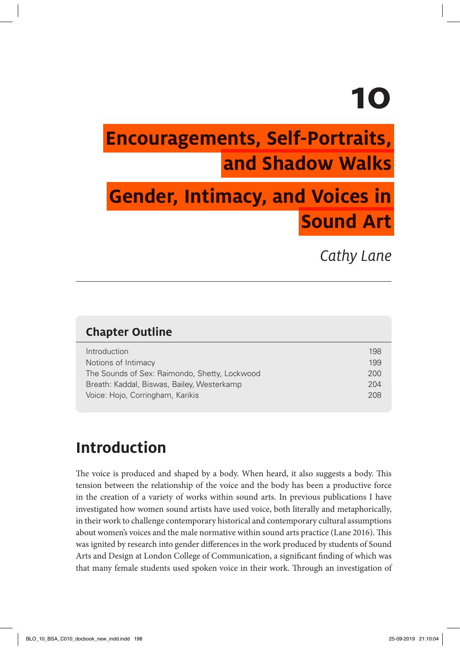# **10**

## **Encouragements, Self-Portraits, and Shadow Walks**

## **Gender, Intimacy, and Voices in Sound Art**

Cathy Lane

| <b>Chapter Outline</b>                        |     |
|-----------------------------------------------|-----|
| Introduction                                  | 198 |
| Notions of Intimacy                           | 199 |
| The Sounds of Sex: Raimondo, Shetty, Lockwood | 200 |
| Breath: Kaddal, Biswas, Bailey, Westerkamp    | 204 |
| Voice: Hojo, Corringham, Karikis              | 208 |

## **Introduction**

The voice is produced and shaped by a body. When heard, it also suggests a body. This tension between the relationship of the voice and the body has been a productive force in the creation of a variety of works within sound arts. In previous publications I have investigated how women sound artists have used voice, both literally and metaphorically, in their work to challenge contemporary historical and contemporary cultural assumptions about women's voices and the male normative within sound arts practice (Lane 2016). This was ignited by research into gender diferences in the work produced by students of Sound Arts and Design at London College of Communication, a signifcant fnding of which was that many female students used spoken voice in their work. Through an investigation of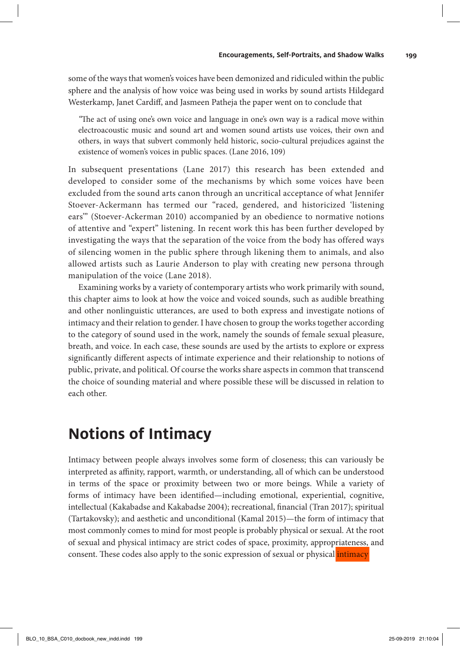some of the ways that women's voices have been demonized and ridiculed within the public sphere and the analysis of how voice was being used in works by sound artists Hildegard Westerkamp, Janet Cardif, and Jasmeen Patheja the paper went on to conclude that

"The act of using one's own voice and language in one's own way is a radical move within electroacoustic music and sound art and women sound artists use voices, their own and others, in ways that subvert commonly held historic, socio-cultural prejudices against the existence of women's voices in public spaces. (Lane 2016, 109)

In subsequent presentations (Lane 2017) this research has been extended and developed to consider some of the mechanisms by which some voices have been excluded from the sound arts canon through an uncritical acceptance of what Jennifer Stoever-Ackermann has termed our "raced, gendered, and historicized 'listening ears'" (Stoever-Ackerman 2010) accompanied by an obedience to normative notions of attentive and "expert" listening. In recent work this has been further developed by investigating the ways that the separation of the voice from the body has offered ways of silencing women in the public sphere through likening them to animals, and also allowed artists such as Laurie Anderson to play with creating new persona through manipulation of the voice (Lane 2018).

Examining works by a variety of contemporary artists who work primarily with sound, this chapter aims to look at how the voice and voiced sounds, such as audible breathing and other nonlinguistic utterances, are used to both express and investigate notions of intimacy and their relation to gender. I have chosen to group the works together according to the category of sound used in the work, namely the sounds of female sexual pleasure, breath, and voice. In each case, these sounds are used by the artists to explore or express signifcantly diferent aspects of intimate experience and their relationship to notions of public, private, and political. Of course the works share aspects in common that transcend the choice of sounding material and where possible these will be discussed in relation to each other.

### **Notions of Intimacy**

Intimacy between people always involves some form of closeness; this can variously be interpreted as afnity, rapport, warmth, or understanding, all of which can be understood in terms of the space or proximity between two or more beings. While a variety of forms of intimacy have been identifed—including emotional, experiential, cognitive, intellectual (Kakabadse and Kakabadse 2004); recreational, fnancial (Tran 2017); spiritual (Tartakovsky); and aesthetic and unconditional (Kamal 2015)—the form of intimacy that most commonly comes to mind for most people is probably physical or sexual. At the root of sexual and physical intimacy are strict codes of space, proximity, appropriateness, and consent. These codes also apply to the sonic expression of sexual or physical *intimacy*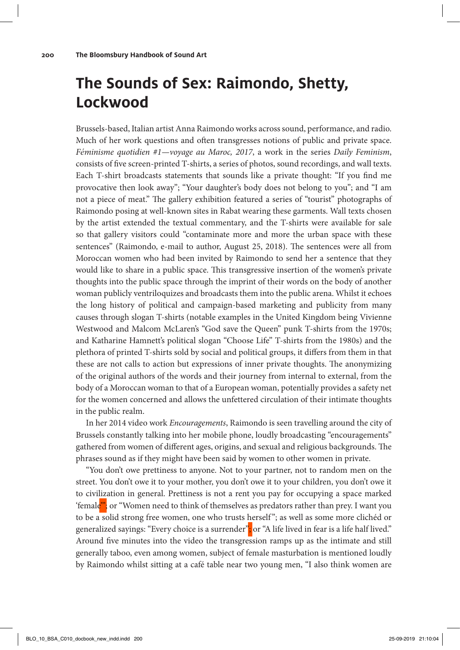## **The Sounds of Sex: Raimondo, Shetty, Lockwood**

Brussels-based, Italian artist Anna Raimondo works across sound, performance, and radio. Much of her work questions and ofen transgresses notions of public and private space. *Féminisme quotidien #1—voyage au Maroc, 2017*, a work in the series *Daily Feminism*, consists of fve screen-printed T-shirts, a series of photos, sound recordings, and wall texts. Each T-shirt broadcasts statements that sounds like a private thought: "If you fnd me provocative then look away"; "Your daughter's body does not belong to you"; and "I am not a piece of meat." The gallery exhibition featured a series of "tourist" photographs of Raimondo posing at well-known sites in Rabat wearing these garments. Wall texts chosen by the artist extended the textual commentary, and the T-shirts were available for sale so that gallery visitors could "contaminate more and more the urban space with these sentences" (Raimondo, e-mail to author, August 25, 2018). The sentences were all from Moroccan women who had been invited by Raimondo to send her a sentence that they would like to share in a public space. This transgressive insertion of the women's private thoughts into the public space through the imprint of their words on the body of another woman publicly ventriloquizes and broadcasts them into the public arena. Whilst it echoes the long history of political and campaign-based marketing and publicity from many causes through slogan T-shirts (notable examples in the United Kingdom being Vivienne Westwood and Malcom McLaren's "God save the Queen" punk T-shirts from the 1970s; and Katharine Hamnett's political slogan "Choose Life" T-shirts from the 1980s) and the plethora of printed T-shirts sold by social and political groups, it difers from them in that these are not calls to action but expressions of inner private thoughts. The anonymizing of the original authors of the words and their journey from internal to external, from the body of a Moroccan woman to that of a European woman, potentially provides a safety net for the women concerned and allows the unfettered circulation of their intimate thoughts in the public realm.

In her 2014 video work *Encouragements*, Raimondo is seen travelling around the city of Brussels constantly talking into her mobile phone, loudly broadcasting "encouragements" gathered from women of different ages, origins, and sexual and religious backgrounds. The phrases sound as if they might have been said by women to other women in private.

"You don't owe prettiness to anyone. Not to your partner, not to random men on the street. You don't owe it to your mother, you don't owe it to your children, you don't owe it to civilization in general. Prettiness is not a rent you pay for occupying a space marked 'female'"; or "Women need to think of themselves as predators rather than prey. I want you to be a solid strong free women, one who trusts herself "; as well as some more clichéd or generalized sayings: "Every choice is a surrender"; or "A life lived in fear is a life half lived." Around fve minutes into the video the transgression ramps up as the intimate and still generally taboo, even among women, subject of female masturbation is mentioned loudly by Raimondo whilst sitting at a café table near two young men, "I also think women are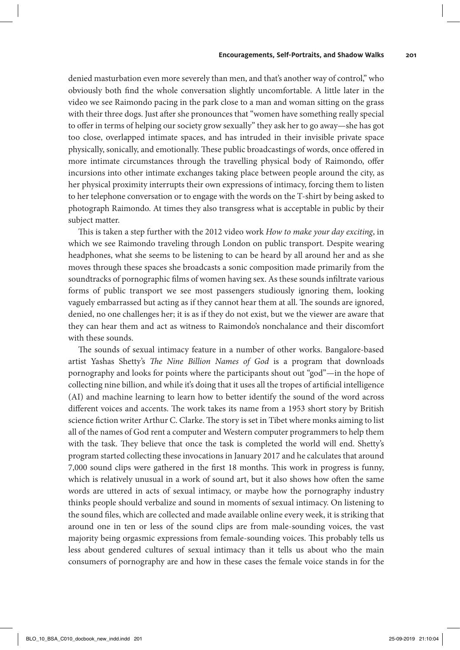denied masturbation even more severely than men, and that's another way of control," who obviously both fnd the whole conversation slightly uncomfortable. A little later in the video we see Raimondo pacing in the park close to a man and woman sitting on the grass with their three dogs. Just after she pronounces that "women have something really special to ofer in terms of helping our society grow sexually" they ask her to go away—she has got too close, overlapped intimate spaces, and has intruded in their invisible private space physically, sonically, and emotionally. These public broadcastings of words, once offered in more intimate circumstances through the travelling physical body of Raimondo, ofer incursions into other intimate exchanges taking place between people around the city, as her physical proximity interrupts their own expressions of intimacy, forcing them to listen to her telephone conversation or to engage with the words on the T-shirt by being asked to photograph Raimondo. At times they also transgress what is acceptable in public by their subject matter.

This is taken a step further with the 2012 video work *How to make your day exciting*, in which we see Raimondo traveling through London on public transport. Despite wearing headphones, what she seems to be listening to can be heard by all around her and as she moves through these spaces she broadcasts a sonic composition made primarily from the soundtracks of pornographic flms of women having sex. As these sounds infltrate various forms of public transport we see most passengers studiously ignoring them, looking vaguely embarrassed but acting as if they cannot hear them at all. The sounds are ignored, denied, no one challenges her; it is as if they do not exist, but we the viewer are aware that they can hear them and act as witness to Raimondo's nonchalance and their discomfort with these sounds.

The sounds of sexual intimacy feature in a number of other works. Bangalore-based artist Yashas Shetty's T*e Nine Billion Names of God* is a program that downloads pornography and looks for points where the participants shout out "god"—in the hope of collecting nine billion, and while it's doing that it uses all the tropes of artifcial intelligence (AI) and machine learning to learn how to better identify the sound of the word across different voices and accents. The work takes its name from a 1953 short story by British science fiction writer Arthur C. Clarke. The story is set in Tibet where monks aiming to list all of the names of God rent a computer and Western computer programmers to help them with the task. They believe that once the task is completed the world will end. Shetty's program started collecting these invocations in January 2017 and he calculates that around 7,000 sound clips were gathered in the frst 18 months. Tis work in progress is funny, which is relatively unusual in a work of sound art, but it also shows how ofen the same words are uttered in acts of sexual intimacy, or maybe how the pornography industry thinks people should verbalize and sound in moments of sexual intimacy. On listening to the sound fles, which are collected and made available online every week, it is striking that around one in ten or less of the sound clips are from male-sounding voices, the vast majority being orgasmic expressions from female-sounding voices. This probably tells us less about gendered cultures of sexual intimacy than it tells us about who the main consumers of pornography are and how in these cases the female voice stands in for the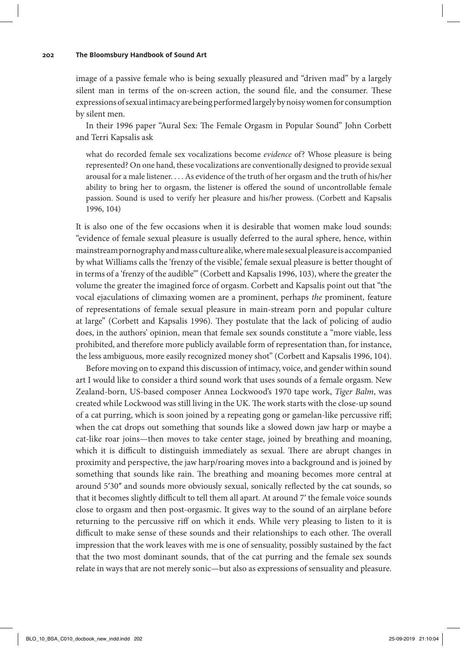image of a passive female who is being sexually pleasured and "driven mad" by a largely silent man in terms of the on-screen action, the sound file, and the consumer. These expressions of sexual intimacy are being performed largely by noisy women for consumption by silent men.

In their 1996 paper "Aural Sex: The Female Orgasm in Popular Sound" John Corbett and Terri Kapsalis ask

what do recorded female sex vocalizations become *evidence* of? Whose pleasure is being represented? On one hand, these vocalizations are conventionally designed to provide sexual arousal for a male listener. . . . As evidence of the truth of her orgasm and the truth of his/her ability to bring her to orgasm, the listener is ofered the sound of uncontrollable female passion. Sound is used to verify her pleasure and his/her prowess. (Corbett and Kapsalis 1996, 104)

It is also one of the few occasions when it is desirable that women make loud sounds: "evidence of female sexual pleasure is usually deferred to the aural sphere, hence, within mainstream pornography and mass culture alike, where male sexual pleasure is accompanied by what Williams calls the 'frenzy of the visible,' female sexual pleasure is better thought of in terms of a 'frenzy of the audible'" (Corbett and Kapsalis 1996, 103), where the greater the volume the greater the imagined force of orgasm. Corbett and Kapsalis point out that "the vocal ejaculations of climaxing women are a prominent, perhaps *the* prominent, feature of representations of female sexual pleasure in main-stream porn and popular culture at large" (Corbett and Kapsalis 1996). They postulate that the lack of policing of audio does, in the authors' opinion, mean that female sex sounds constitute a "more viable, less prohibited, and therefore more publicly available form of representation than, for instance, the less ambiguous, more easily recognized money shot" (Corbett and Kapsalis 1996, 104).

Before moving on to expand this discussion of intimacy, voice, and gender within sound art I would like to consider a third sound work that uses sounds of a female orgasm. New Zealand-born, US-based composer Annea Lockwood's 1970 tape work, *Tiger Balm*, was created while Lockwood was still living in the UK. The work starts with the close-up sound of a cat purring, which is soon joined by a repeating gong or gamelan-like percussive rif; when the cat drops out something that sounds like a slowed down jaw harp or maybe a cat-like roar joins—then moves to take center stage, joined by breathing and moaning, which it is difficult to distinguish immediately as sexual. There are abrupt changes in proximity and perspective, the jaw harp/roaring moves into a background and is joined by something that sounds like rain. The breathing and moaning becomes more central at around 5'30" and sounds more obviously sexual, sonically reflected by the cat sounds, so that it becomes slightly difficult to tell them all apart. At around 7' the female voice sounds close to orgasm and then post-orgasmic. It gives way to the sound of an airplane before returning to the percussive rif on which it ends. While very pleasing to listen to it is difficult to make sense of these sounds and their relationships to each other. The overall impression that the work leaves with me is one of sensuality, possibly sustained by the fact that the two most dominant sounds, that of the cat purring and the female sex sounds relate in ways that are not merely sonic—but also as expressions of sensuality and pleasure.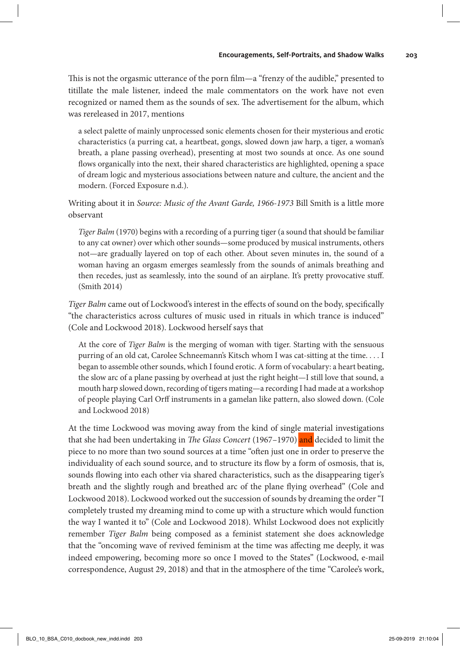This is not the orgasmic utterance of the porn film—a "frenzy of the audible," presented to titillate the male listener, indeed the male commentators on the work have not even recognized or named them as the sounds of sex. The advertisement for the album, which was rereleased in 2017, mentions

a select palette of mainly unprocessed sonic elements chosen for their mysterious and erotic characteristics (a purring cat, a heartbeat, gongs, slowed down jaw harp, a tiger, a woman's breath, a plane passing overhead), presenting at most two sounds at once. As one sound fows organically into the next, their shared characteristics are highlighted, opening a space of dream logic and mysterious associations between nature and culture, the ancient and the modern. (Forced Exposure n.d.).

#### Writing about it in *Source: Music of the Avant Garde, 1966-1973* Bill Smith is a little more observant

*Tiger Balm* (1970) begins with a recording of a purring tiger (a sound that should be familiar to any cat owner) over which other sounds—some produced by musical instruments, others not—are gradually layered on top of each other. About seven minutes in, the sound of a woman having an orgasm emerges seamlessly from the sounds of animals breathing and then recedes, just as seamlessly, into the sound of an airplane. It's pretty provocative stuf. (Smith 2014)

*Tiger Balm* came out of Lockwood's interest in the efects of sound on the body, specifcally "the characteristics across cultures of music used in rituals in which trance is induced" (Cole and Lockwood 2018). Lockwood herself says that

At the core of *Tiger Balm* is the merging of woman with tiger. Starting with the sensuous purring of an old cat, Carolee Schneemann's Kitsch whom I was cat-sitting at the time. . . . I began to assemble other sounds, which I found erotic. A form of vocabulary: a heart beating, the slow arc of a plane passing by overhead at just the right height—I still love that sound, a mouth harp slowed down, recording of tigers mating—a recording I had made at a workshop of people playing Carl Orf instruments in a gamelan like pattern, also slowed down. (Cole and Lockwood 2018)

At the time Lockwood was moving away from the kind of single material investigations that she had been undertaking in *The Glass Concert* (1967–1970) and decided to limit the piece to no more than two sound sources at a time "often just one in order to preserve the individuality of each sound source, and to structure its flow by a form of osmosis, that is, sounds fowing into each other via shared characteristics, such as the disappearing tiger's breath and the slightly rough and breathed arc of the plane fying overhead" (Cole and Lockwood 2018). Lockwood worked out the succession of sounds by dreaming the order "I completely trusted my dreaming mind to come up with a structure which would function the way I wanted it to" (Cole and Lockwood 2018). Whilst Lockwood does not explicitly remember *Tiger Balm* being composed as a feminist statement she does acknowledge that the "oncoming wave of revived feminism at the time was afecting me deeply, it was indeed empowering, becoming more so once I moved to the States" (Lockwood, e-mail correspondence, August 29, 2018) and that in the atmosphere of the time "Carolee's work,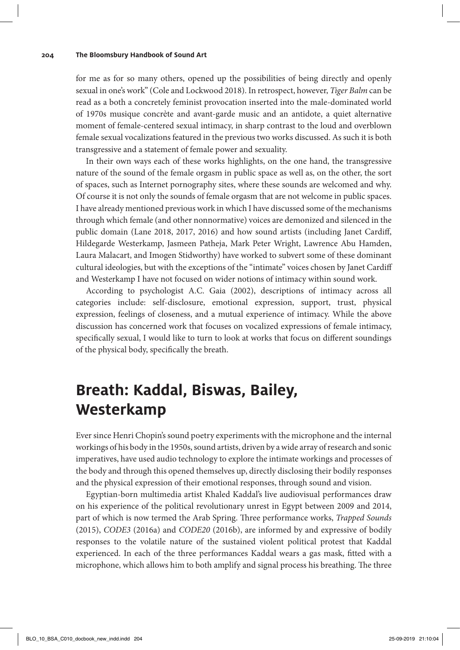for me as for so many others, opened up the possibilities of being directly and openly sexual in one's work" (Cole and Lockwood 2018). In retrospect, however, *Tiger Balm* can be read as a both a concretely feminist provocation inserted into the male-dominated world of 1970s musique concrète and avant-garde music and an antidote, a quiet alternative moment of female-centered sexual intimacy, in sharp contrast to the loud and overblown female sexual vocalizations featured in the previous two works discussed. As such it is both transgressive and a statement of female power and sexuality.

In their own ways each of these works highlights, on the one hand, the transgressive nature of the sound of the female orgasm in public space as well as, on the other, the sort of spaces, such as Internet pornography sites, where these sounds are welcomed and why. Of course it is not only the sounds of female orgasm that are not welcome in public spaces. I have already mentioned previous work in which I have discussed some of the mechanisms through which female (and other nonnormative) voices are demonized and silenced in the public domain (Lane 2018, 2017, 2016) and how sound artists (including Janet Cardif, Hildegarde Westerkamp, Jasmeen Patheja, Mark Peter Wright, Lawrence Abu Hamden, Laura Malacart, and Imogen Stidworthy) have worked to subvert some of these dominant cultural ideologies, but with the exceptions of the "intimate" voices chosen by Janet Cardif and Westerkamp I have not focused on wider notions of intimacy within sound work.

According to psychologist A.C. Gaia (2002), descriptions of intimacy across all categories include: self-disclosure, emotional expression, support, trust, physical expression, feelings of closeness, and a mutual experience of intimacy. While the above discussion has concerned work that focuses on vocalized expressions of female intimacy, specifcally sexual, I would like to turn to look at works that focus on diferent soundings of the physical body, specifcally the breath.

## **Breath: Kaddal, Biswas, Bailey, Westerkamp**

Ever since Henri Chopin's sound poetry experiments with the microphone and the internal workings of his body in the 1950s, sound artists, driven by a wide array of research and sonic imperatives, have used audio technology to explore the intimate workings and processes of the body and through this opened themselves up, directly disclosing their bodily responses and the physical expression of their emotional responses, through sound and vision.

Egyptian-born multimedia artist Khaled Kaddal's live audiovisual performances draw on his experience of the political revolutionary unrest in Egypt between 2009 and 2014, part of which is now termed the Arab Spring. Three performance works, *Trapped Sounds* (2015), *CODE3* (2016a) and *CODE20* (2016b), are informed by and expressive of bodily responses to the volatile nature of the sustained violent political protest that Kaddal experienced. In each of the three performances Kaddal wears a gas mask, ftted with a microphone, which allows him to both amplify and signal process his breathing. The three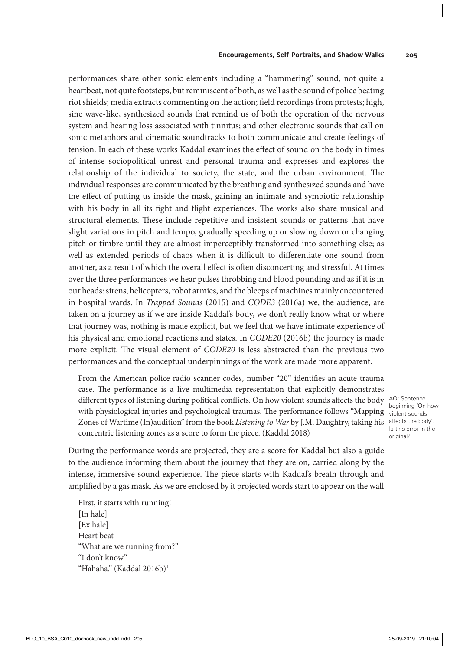performances share other sonic elements including a "hammering" sound, not quite a heartbeat, not quite footsteps, but reminiscent of both, as well as the sound of police beating riot shields; media extracts commenting on the action; feld recordings from protests; high, sine wave-like, synthesized sounds that remind us of both the operation of the nervous system and hearing loss associated with tinnitus; and other electronic sounds that call on sonic metaphors and cinematic soundtracks to both communicate and create feelings of tension. In each of these works Kaddal examines the efect of sound on the body in times of intense sociopolitical unrest and personal trauma and expresses and explores the relationship of the individual to society, the state, and the urban environment. The individual responses are communicated by the breathing and synthesized sounds and have the efect of putting us inside the mask, gaining an intimate and symbiotic relationship with his body in all its fight and flight experiences. The works also share musical and structural elements. These include repetitive and insistent sounds or patterns that have slight variations in pitch and tempo, gradually speeding up or slowing down or changing pitch or timbre until they are almost imperceptibly transformed into something else; as well as extended periods of chaos when it is difficult to differentiate one sound from another, as a result of which the overall efect is ofen disconcerting and stressful. At times over the three performances we hear pulses throbbing and blood pounding and as if it is in our heads: sirens, helicopters, robot armies, and the bleeps of machines mainly encountered in hospital wards. In *Trapped Sounds* (2015) and *CODE3* (2016a) we, the audience, are taken on a journey as if we are inside Kaddal's body, we don't really know what or where that journey was, nothing is made explicit, but we feel that we have intimate experience of his physical and emotional reactions and states. In *CODE20* (2016b) the journey is made more explicit. The visual element of *CODE20* is less abstracted than the previous two performances and the conceptual underpinnings of the work are made more apparent.

From the American police radio scanner codes, number "20" identifes an acute trauma case. The performance is a live multimedia representation that explicitly demonstrates different types of listening during political conflicts. On how violent sounds affects the body AQ: Sentence with physiological injuries and psychological traumas. The performance follows "Mapping violent sounds" Zones of Wartime (In)audition" from the book *Listening to War* by J.M. Daughtry, taking his affects the body'. concentric listening zones as a score to form the piece. (Kaddal 2018)

beginning 'On how Is this error in the original?

During the performance words are projected, they are a score for Kaddal but also a guide to the audience informing them about the journey that they are on, carried along by the intense, immersive sound experience. The piece starts with Kaddal's breath through and amplifed by a gas mask. As we are enclosed by it projected words start to appear on the wall

First, it starts with running! [In hale] [Ex hale] Heart beat "What are we running from?" "I don't know" "Hahaha." (Kaddal 2016b)<sup>1</sup>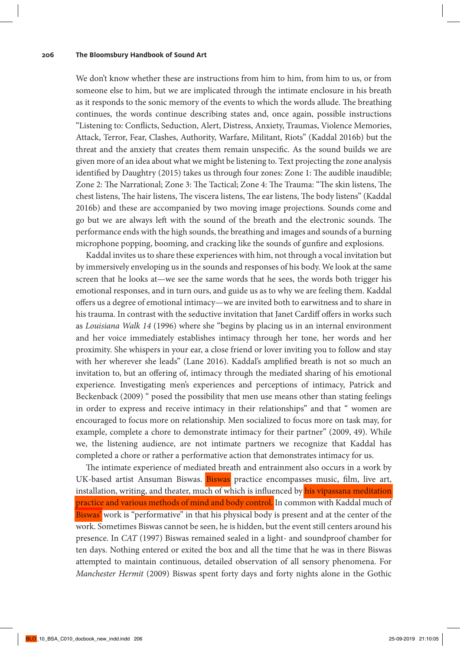We don't know whether these are instructions from him to him, from him to us, or from someone else to him, but we are implicated through the intimate enclosure in his breath as it responds to the sonic memory of the events to which the words allude. The breathing continues, the words continue describing states and, once again, possible instructions "Listening to: Conficts, Seduction, Alert, Distress, Anxiety, Traumas, Violence Memories, Attack, Terror, Fear, Clashes, Authority, Warfare, Militant, Riots" (Kaddal 2016b) but the threat and the anxiety that creates them remain unspecifc. As the sound builds we are given more of an idea about what we might be listening to. Text projecting the zone analysis identified by Daughtry (2015) takes us through four zones: Zone 1: The audible inaudible; Zone 2: The Narrational; Zone 3: The Tactical; Zone 4: The Trauma: "The skin listens, The chest listens, The hair listens, The viscera listens, The ear listens, The body listens" (Kaddal 2016b) and these are accompanied by two moving image projections. Sounds come and go but we are always left with the sound of the breath and the electronic sounds. The performance ends with the high sounds, the breathing and images and sounds of a burning microphone popping, booming, and cracking like the sounds of gunfre and explosions.

Kaddal invites us to share these experiences with him, not through a vocal invitation but by immersively enveloping us in the sounds and responses of his body. We look at the same screen that he looks at—we see the same words that he sees, the words both trigger his emotional responses, and in turn ours, and guide us as to why we are feeling them. Kaddal ofers us a degree of emotional intimacy—we are invited both to earwitness and to share in his trauma. In contrast with the seductive invitation that Janet Cardiff offers in works such as *Louisiana Walk 14* (1996) where she "begins by placing us in an internal environment and her voice immediately establishes intimacy through her tone, her words and her proximity. She whispers in your ear, a close friend or lover inviting you to follow and stay with her wherever she leads" (Lane 2016). Kaddal's amplifed breath is not so much an invitation to, but an offering of, intimacy through the mediated sharing of his emotional experience. Investigating men's experiences and perceptions of intimacy, Patrick and Beckenback (2009) " posed the possibility that men use means other than stating feelings in order to express and receive intimacy in their relationships" and that " women are encouraged to focus more on relationship. Men socialized to focus more on task may, for example, complete a chore to demonstrate intimacy for their partner" (2009, 49). While we, the listening audience, are not intimate partners we recognize that Kaddal has completed a chore or rather a performative action that demonstrates intimacy for us.

The intimate experience of mediated breath and entrainment also occurs in a work by UK-based artist Ansuman Biswas. Biswas practice encompasses music, flm, live art, installation, writing, and theater, much of which is influenced by his vipassana meditation practice and various methods of mind and body control. In common with Kaddal much of Biswas' work is "performative" in that his physical body is present and at the center of the work. Sometimes Biswas cannot be seen, he is hidden, but the event still centers around his presence. In *CAT* (1997) Biswas remained sealed in a light- and soundproof chamber for ten days. Nothing entered or exited the box and all the time that he was in there Biswas attempted to maintain continuous, detailed observation of all sensory phenomena. For *Manchester Hermit* (2009) Biswas spent forty days and forty nights alone in the Gothic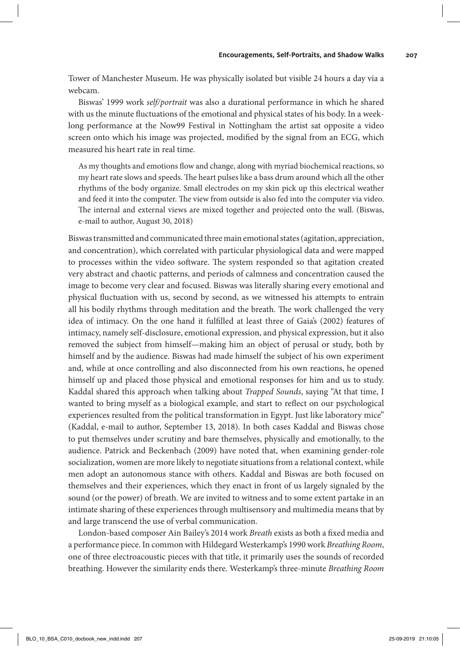Tower of Manchester Museum. He was physically isolated but visible 24 hours a day via a webcam.

Biswas' 1999 work *self/portrait* was also a durational performance in which he shared with us the minute fuctuations of the emotional and physical states of his body. In a weeklong performance at the Now99 Festival in Nottingham the artist sat opposite a video screen onto which his image was projected, modifed by the signal from an ECG, which measured his heart rate in real time.

As my thoughts and emotions fow and change, along with myriad biochemical reactions, so my heart rate slows and speeds. The heart pulses like a bass drum around which all the other rhythms of the body organize. Small electrodes on my skin pick up this electrical weather and feed it into the computer. The view from outside is also fed into the computer via video. The internal and external views are mixed together and projected onto the wall. (Biswas, e-mail to author, August 30, 2018)

Biswas transmitted and communicated three main emotional states (agitation, appreciation, and concentration), which correlated with particular physiological data and were mapped to processes within the video software. The system responded so that agitation created very abstract and chaotic patterns, and periods of calmness and concentration caused the image to become very clear and focused. Biswas was literally sharing every emotional and physical fuctuation with us, second by second, as we witnessed his attempts to entrain all his bodily rhythms through meditation and the breath. The work challenged the very idea of intimacy. On the one hand it fulflled at least three of Gaia's (2002) features of intimacy, namely self-disclosure, emotional expression, and physical expression, but it also removed the subject from himself—making him an object of perusal or study, both by himself and by the audience. Biswas had made himself the subject of his own experiment and, while at once controlling and also disconnected from his own reactions, he opened himself up and placed those physical and emotional responses for him and us to study. Kaddal shared this approach when talking about *Trapped Sounds*, saying "At that time, I wanted to bring myself as a biological example, and start to refect on our psychological experiences resulted from the political transformation in Egypt. Just like laboratory mice" (Kaddal, e-mail to author, September 13, 2018). In both cases Kaddal and Biswas chose to put themselves under scrutiny and bare themselves, physically and emotionally, to the audience. Patrick and Beckenbach (2009) have noted that, when examining gender-role socialization, women are more likely to negotiate situations from a relational context, while men adopt an autonomous stance with others. Kaddal and Biswas are both focused on themselves and their experiences, which they enact in front of us largely signaled by the sound (or the power) of breath. We are invited to witness and to some extent partake in an intimate sharing of these experiences through multisensory and multimedia means that by and large transcend the use of verbal communication.

London-based composer Ain Bailey's 2014 work *Breath* exists as both a fxed media and a performance piece. In common with Hildegard Westerkamp's 1990 work *Breathing Room*, one of three electroacoustic pieces with that title, it primarily uses the sounds of recorded breathing. However the similarity ends there. Westerkamp's three-minute *Breathing Room*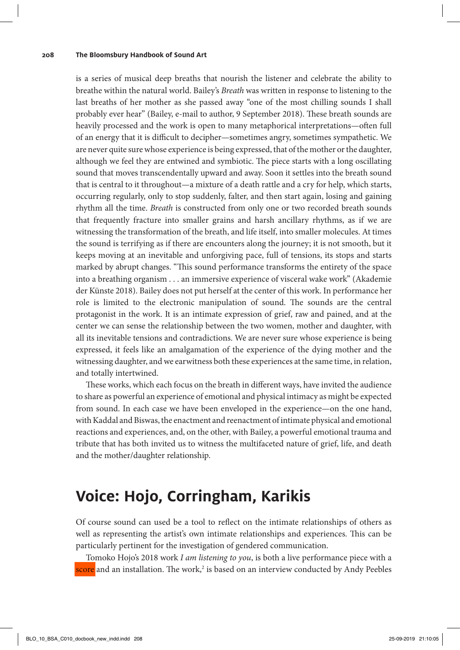is a series of musical deep breaths that nourish the listener and celebrate the ability to breathe within the natural world. Bailey's *Breath* was written in response to listening to the last breaths of her mother as she passed away "one of the most chilling sounds I shall probably ever hear" (Bailey, e-mail to author, 9 September 2018). These breath sounds are heavily processed and the work is open to many metaphorical interpretations—ofen full of an energy that it is difcult to decipher—sometimes angry, sometimes sympathetic. We are never quite sure whose experience is being expressed, that of the mother or the daughter, although we feel they are entwined and symbiotic. The piece starts with a long oscillating sound that moves transcendentally upward and away. Soon it settles into the breath sound that is central to it throughout—a mixture of a death rattle and a cry for help, which starts, occurring regularly, only to stop suddenly, falter, and then start again, losing and gaining rhythm all the time. *Breath* is constructed from only one or two recorded breath sounds that frequently fracture into smaller grains and harsh ancillary rhythms, as if we are witnessing the transformation of the breath, and life itself, into smaller molecules. At times the sound is terrifying as if there are encounters along the journey; it is not smooth, but it keeps moving at an inevitable and unforgiving pace, full of tensions, its stops and starts marked by abrupt changes. "Tis sound performance transforms the entirety of the space into a breathing organism . . . an immersive experience of visceral wake work" (Akademie der Künste 2018). Bailey does not put herself at the center of this work. In performance her role is limited to the electronic manipulation of sound. The sounds are the central protagonist in the work. It is an intimate expression of grief, raw and pained, and at the center we can sense the relationship between the two women, mother and daughter, with all its inevitable tensions and contradictions. We are never sure whose experience is being expressed, it feels like an amalgamation of the experience of the dying mother and the witnessing daughter, and we earwitness both these experiences at the same time, in relation, and totally intertwined.

These works, which each focus on the breath in different ways, have invited the audience to share as powerful an experience of emotional and physical intimacy as might be expected from sound. In each case we have been enveloped in the experience—on the one hand, with Kaddal and Biswas, the enactment and reenactment of intimate physical and emotional reactions and experiences, and, on the other, with Bailey, a powerful emotional trauma and tribute that has both invited us to witness the multifaceted nature of grief, life, and death and the mother/daughter relationship.

### **Voice: Hojo, Corringham, Karikis**

Of course sound can used be a tool to refect on the intimate relationships of others as well as representing the artist's own intimate relationships and experiences. This can be particularly pertinent for the investigation of gendered communication.

Tomoko Hojo's 2018 work *I am listening to you*, is both a live performance piece with a score and an installation. The work,<sup>2</sup> is based on an interview conducted by Andy Peebles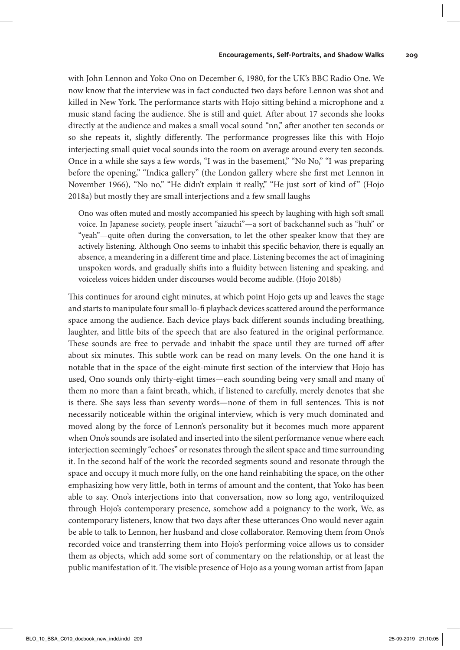with John Lennon and Yoko Ono on December 6, 1980, for the UK's BBC Radio One. We now know that the interview was in fact conducted two days before Lennon was shot and killed in New York. The performance starts with Hojo sitting behind a microphone and a music stand facing the audience. She is still and quiet. Afer about 17 seconds she looks directly at the audience and makes a small vocal sound "nn," afer another ten seconds or so she repeats it, slightly differently. The performance progresses like this with Hojo interjecting small quiet vocal sounds into the room on average around every ten seconds. Once in a while she says a few words, "I was in the basement," "No No," "I was preparing before the opening," "Indica gallery" (the London gallery where she frst met Lennon in November 1966), "No no," "He didn't explain it really," "He just sort of kind of" (Hojo 2018a) but mostly they are small interjections and a few small laughs

Ono was ofen muted and mostly accompanied his speech by laughing with high sof small voice. In Japanese society, people insert "aizuchi"—a sort of backchannel such as "huh" or "yeah"—quite often during the conversation, to let the other speaker know that they are actively listening. Although Ono seems to inhabit this specifc behavior, there is equally an absence, a meandering in a diferent time and place. Listening becomes the act of imagining unspoken words, and gradually shifs into a fuidity between listening and speaking, and voiceless voices hidden under discourses would become audible. (Hojo 2018b)

Tis continues for around eight minutes, at which point Hojo gets up and leaves the stage and starts to manipulate four small lo-fi playback devices scattered around the performance space among the audience. Each device plays back diferent sounds including breathing, laughter, and little bits of the speech that are also featured in the original performance. These sounds are free to pervade and inhabit the space until they are turned off after about six minutes. Tis subtle work can be read on many levels. On the one hand it is notable that in the space of the eight-minute frst section of the interview that Hojo has used, Ono sounds only thirty-eight times—each sounding being very small and many of them no more than a faint breath, which, if listened to carefully, merely denotes that she is there. She says less than seventy words—none of them in full sentences. Tis is not necessarily noticeable within the original interview, which is very much dominated and moved along by the force of Lennon's personality but it becomes much more apparent when Ono's sounds are isolated and inserted into the silent performance venue where each interjection seemingly "echoes" or resonates through the silent space and time surrounding it. In the second half of the work the recorded segments sound and resonate through the space and occupy it much more fully, on the one hand reinhabiting the space, on the other emphasizing how very little, both in terms of amount and the content, that Yoko has been able to say. Ono's interjections into that conversation, now so long ago, ventriloquized through Hojo's contemporary presence, somehow add a poignancy to the work, We, as contemporary listeners, know that two days afer these utterances Ono would never again be able to talk to Lennon, her husband and close collaborator. Removing them from Ono's recorded voice and transferring them into Hojo's performing voice allows us to consider them as objects, which add some sort of commentary on the relationship, or at least the public manifestation of it. The visible presence of Hojo as a young woman artist from Japan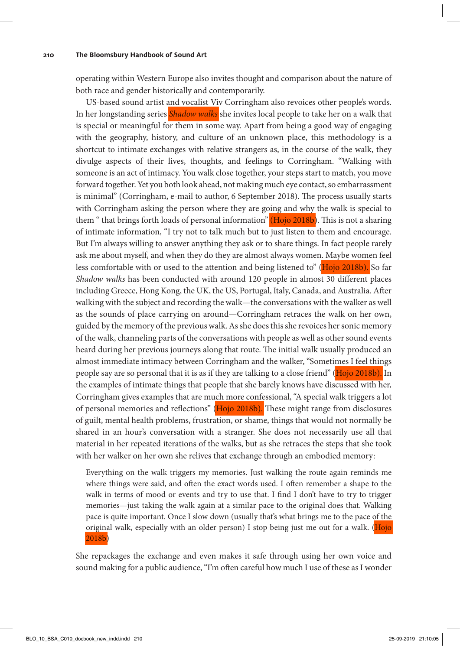operating within Western Europe also invites thought and comparison about the nature of both race and gender historically and contemporarily.

US-based sound artist and vocalist Viv Corringham also revoices other people's words. In her longstanding series *Shadow walks* she invites local people to take her on a walk that is special or meaningful for them in some way. Apart from being a good way of engaging with the geography, history, and culture of an unknown place, this methodology is a shortcut to intimate exchanges with relative strangers as, in the course of the walk, they divulge aspects of their lives, thoughts, and feelings to Corringham. "Walking with someone is an act of intimacy. You walk close together, your steps start to match, you move forward together. Yet you both look ahead, not making much eye contact, so embarrassment is minimal" (Corringham, e-mail to author, 6 September 2018). The process usually starts with Corringham asking the person where they are going and why the walk is special to them " that brings forth loads of personal information"  $(Hojo 2018b)$ . This is not a sharing of intimate information, "I try not to talk much but to just listen to them and encourage. But I'm always willing to answer anything they ask or to share things. In fact people rarely ask me about myself, and when they do they are almost always women. Maybe women feel less comfortable with or used to the attention and being listened to" (Hojo 2018b). So far *Shadow walks* has been conducted with around 120 people in almost 30 diferent places including Greece, Hong Kong, the UK, the US, Portugal, Italy, Canada, and Australia. Afer walking with the subject and recording the walk—the conversations with the walker as well as the sounds of place carrying on around—Corringham retraces the walk on her own, guided by the memory of the previous walk. As she does this she revoices her sonic memory of the walk, channeling parts of the conversations with people as well as other sound events heard during her previous journeys along that route. The initial walk usually produced an almost immediate intimacy between Corringham and the walker, "Sometimes I feel things people say are so personal that it is as if they are talking to a close friend" (Hojo 2018b). In the examples of intimate things that people that she barely knows have discussed with her, Corringham gives examples that are much more confessional, "A special walk triggers a lot of personal memories and reflections" (Hojo 2018b). These might range from disclosures of guilt, mental health problems, frustration, or shame, things that would not normally be shared in an hour's conversation with a stranger. She does not necessarily use all that material in her repeated iterations of the walks, but as she retraces the steps that she took with her walker on her own she relives that exchange through an embodied memory:

Everything on the walk triggers my memories. Just walking the route again reminds me where things were said, and ofen the exact words used. I ofen remember a shape to the walk in terms of mood or events and try to use that. I find I don't have to try to trigger memories—just taking the walk again at a similar pace to the original does that. Walking pace is quite important. Once I slow down (usually that's what brings me to the pace of the original walk, especially with an older person) I stop being just me out for a walk. (Hojo 2018b)

She repackages the exchange and even makes it safe through using her own voice and sound making for a public audience, "I'm often careful how much I use of these as I wonder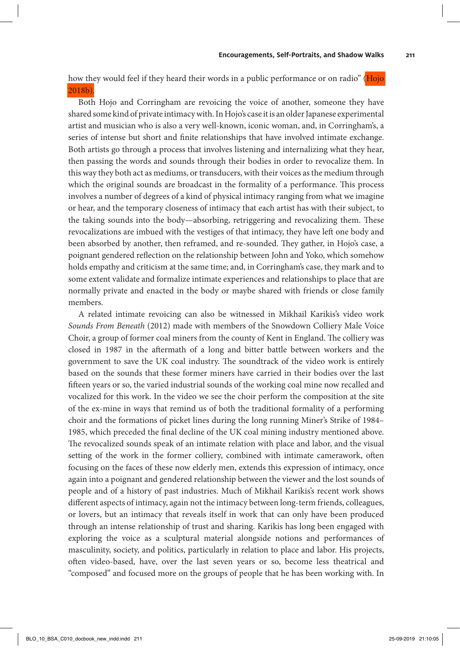how they would feel if they heard their words in a public performance or on radio" (Hojo 2018b)

Both Hojo and Corringham are revoicing the voice of another, someone they have shared some kind of private intimacy with. In Hojo's case it is an older Japanese experimental artist and musician who is also a very well-known, iconic woman, and, in Corringham's, a series of intense but short and fnite relationships that have involved intimate exchange. Both artists go through a process that involves listening and internalizing what they hear, then passing the words and sounds through their bodies in order to revocalize them. In this way they both act as mediums, or transducers, with their voices as the medium through which the original sounds are broadcast in the formality of a performance. This process involves a number of degrees of a kind of physical intimacy ranging from what we imagine or hear, and the temporary closeness of intimacy that each artist has with their subject, to the taking sounds into the body—absorbing, retriggering and revocalizing them. These revocalizations are imbued with the vestiges of that intimacy, they have left one body and been absorbed by another, then reframed, and re-sounded. They gather, in Hojo's case, a poignant gendered refection on the relationship between John and Yoko, which somehow holds empathy and criticism at the same time; and, in Corringham's case, they mark and to some extent validate and formalize intimate experiences and relationships to place that are normally private and enacted in the body or maybe shared with friends or close family members.

A related intimate revoicing can also be witnessed in Mikhail Karikis's video work *Sounds From Beneath* (2012) made with members of the Snowdown Colliery Male Voice Choir, a group of former coal miners from the county of Kent in England. The colliery was closed in 1987 in the afermath of a long and bitter battle between workers and the government to save the UK coal industry. The soundtrack of the video work is entirely based on the sounds that these former miners have carried in their bodies over the last ffeen years or so, the varied industrial sounds of the working coal mine now recalled and vocalized for this work. In the video we see the choir perform the composition at the site of the ex-mine in ways that remind us of both the traditional formality of a performing choir and the formations of picket lines during the long running Miner's Strike of 1984– 1985, which preceded the fnal decline of the UK coal mining industry mentioned above. The revocalized sounds speak of an intimate relation with place and labor, and the visual setting of the work in the former colliery, combined with intimate camerawork, ofen focusing on the faces of these now elderly men, extends this expression of intimacy, once again into a poignant and gendered relationship between the viewer and the lost sounds of people and of a history of past industries. Much of Mikhail Karikis's recent work shows diferent aspects of intimacy, again not the intimacy between long-term friends, colleagues, or lovers, but an intimacy that reveals itself in work that can only have been produced through an intense relationship of trust and sharing. Karikis has long been engaged with exploring the voice as a sculptural material alongside notions and performances of masculinity, society, and politics, particularly in relation to place and labor. His projects, ofen video-based, have, over the last seven years or so, become less theatrical and "composed" and focused more on the groups of people that he has been working with. In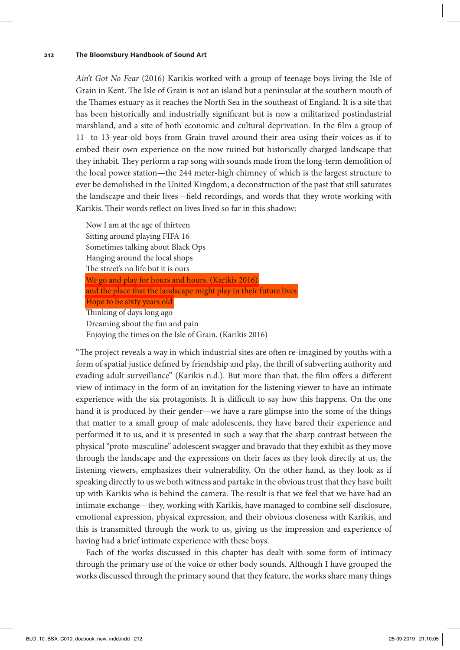*Ain't Got No Fear* (2016) Karikis worked with a group of teenage boys living the Isle of Grain in Kent. The Isle of Grain is not an island but a peninsular at the southern mouth of the Thames estuary as it reaches the North Sea in the southeast of England. It is a site that has been historically and industrially signifcant but is now a militarized postindustrial marshland, and a site of both economic and cultural deprivation. In the flm a group of 11- to 13-year-old boys from Grain travel around their area using their voices as if to embed their own experience on the now ruined but historically charged landscape that they inhabit. They perform a rap song with sounds made from the long-term demolition of the local power station—the 244 meter-high chimney of which is the largest structure to ever be demolished in the United Kingdom, a deconstruction of the past that still saturates the landscape and their lives—feld recordings, and words that they wrote working with Karikis. Their words reflect on lives lived so far in this shadow:

Now I am at the age of thirteen Sitting around playing FIFA 16 Sometimes talking about Black Ops Hanging around the local shops The street's no life but it is ours We go and play for hours and hours. (Karikis 2016) and the place that the landscape might play in their future lives Hope to be sixty years old Thinking of days long ago Dreaming about the fun and pain Enjoying the times on the Isle of Grain. (Karikis 2016)

"The project reveals a way in which industrial sites are often re-imagined by youths with a form of spatial justice defned by friendship and play, the thrill of subverting authority and evading adult surveillance" (Karikis n.d.). But more than that, the film offers a different view of intimacy in the form of an invitation for the listening viewer to have an intimate experience with the six protagonists. It is difficult to say how this happens. On the one hand it is produced by their gender—we have a rare glimpse into the some of the things that matter to a small group of male adolescents, they have bared their experience and performed it to us, and it is presented in such a way that the sharp contrast between the physical "proto-masculine" adolescent swagger and bravado that they exhibit as they move through the landscape and the expressions on their faces as they look directly at us, the listening viewers, emphasizes their vulnerability. On the other hand, as they look as if speaking directly to us we both witness and partake in the obvious trust that they have built up with Karikis who is behind the camera. The result is that we feel that we have had an intimate exchange—they, working with Karikis, have managed to combine self-disclosure, emotional expression, physical expression, and their obvious closeness with Karikis, and this is transmitted through the work to us, giving us the impression and experience of having had a brief intimate experience with these boys.

Each of the works discussed in this chapter has dealt with some form of intimacy through the primary use of the voice or other body sounds. Although I have grouped the works discussed through the primary sound that they feature, the works share many things